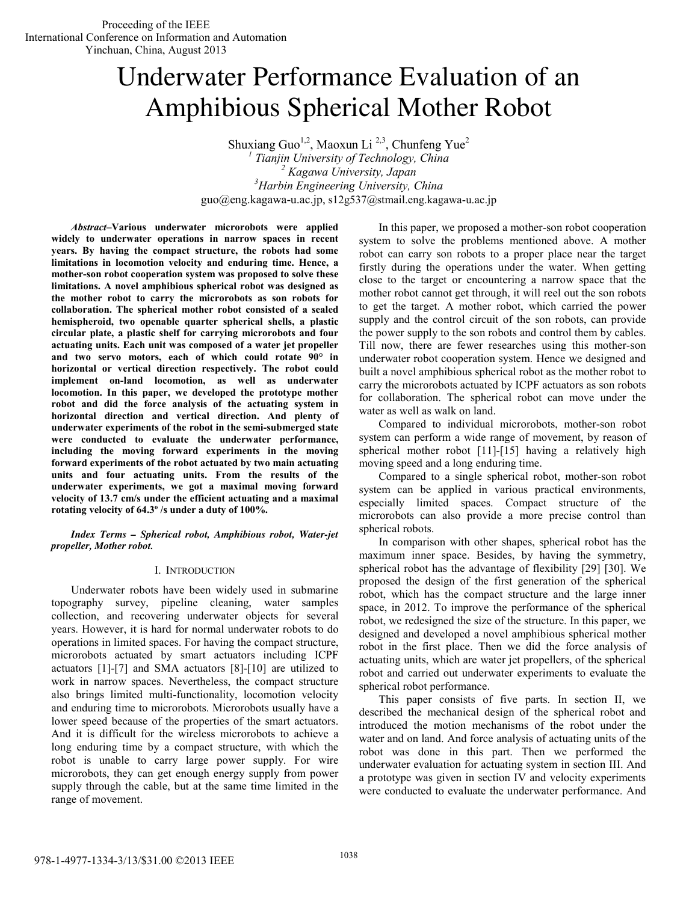# Underwater Performance Evaluation of an Amphibious Spherical Mother Robot

Shuxiang Guo<sup>1,2</sup>, Maoxun Li<sup>2,3</sup>, Chunfeng Yue<sup>2</sup> *1 Tianjin University of Technology, China 2 Kagawa University, Japan 3 Harbin Engineering University, China*  guo@eng.kagawa-u.ac.jp, s12g537@stmail.eng.kagawa-u.ac.jp

*Abstract***–Various underwater microrobots were applied widely to underwater operations in narrow spaces in recent years. By having the compact structure, the robots had some limitations in locomotion velocity and enduring time. Hence, a mother-son robot cooperation system was proposed to solve these limitations. A novel amphibious spherical robot was designed as the mother robot to carry the microrobots as son robots for collaboration. The spherical mother robot consisted of a sealed hemispheroid, two openable quarter spherical shells, a plastic circular plate, a plastic shelf for carrying microrobots and four actuating units. Each unit was composed of a water jet propeller and two servo motors, each of which could rotate 90° in horizontal or vertical direction respectively. The robot could implement on-land locomotion, as well as underwater locomotion. In this paper, we developed the prototype mother robot and did the force analysis of the actuating system in horizontal direction and vertical direction. And plenty of underwater experiments of the robot in the semi-submerged state were conducted to evaluate the underwater performance, including the moving forward experiments in the moving forward experiments of the robot actuated by two main actuating units and four actuating units. From the results of the underwater experiments, we got a maximal moving forward velocity of 13.7 cm/s under the efficient actuating and a maximal rotating velocity of 64.3º /s under a duty of 100%.** 

*Index Terms – Spherical robot, Amphibious robot, Water-jet propeller, Mother robot.* 

## I. INTRODUCTION

 Underwater robots have been widely used in submarine topography survey, pipeline cleaning, water samples collection, and recovering underwater objects for several years. However, it is hard for normal underwater robots to do operations in limited spaces. For having the compact structure, microrobots actuated by smart actuators including ICPF actuators [1]-[7] and SMA actuators [8]-[10] are utilized to work in narrow spaces. Nevertheless, the compact structure also brings limited multi-functionality, locomotion velocity and enduring time to microrobots. Microrobots usually have a lower speed because of the properties of the smart actuators. And it is difficult for the wireless microrobots to achieve a long enduring time by a compact structure, with which the robot is unable to carry large power supply. For wire microrobots, they can get enough energy supply from power supply through the cable, but at the same time limited in the range of movement.

 In this paper, we proposed a mother-son robot cooperation system to solve the problems mentioned above. A mother robot can carry son robots to a proper place near the target firstly during the operations under the water. When getting close to the target or encountering a narrow space that the mother robot cannot get through, it will reel out the son robots to get the target. A mother robot, which carried the power supply and the control circuit of the son robots, can provide the power supply to the son robots and control them by cables. Till now, there are fewer researches using this mother-son underwater robot cooperation system. Hence we designed and built a novel amphibious spherical robot as the mother robot to carry the microrobots actuated by ICPF actuators as son robots for collaboration. The spherical robot can move under the water as well as walk on land.

 Compared to individual microrobots, mother-son robot system can perform a wide range of movement, by reason of spherical mother robot [11]-[15] having a relatively high moving speed and a long enduring time.

 Compared to a single spherical robot, mother-son robot system can be applied in various practical environments, especially limited spaces. Compact structure of the microrobots can also provide a more precise control than spherical robots.

 In comparison with other shapes, spherical robot has the maximum inner space. Besides, by having the symmetry, spherical robot has the advantage of flexibility [29] [30]. We proposed the design of the first generation of the spherical robot, which has the compact structure and the large inner space, in 2012. To improve the performance of the spherical robot, we redesigned the size of the structure. In this paper, we designed and developed a novel amphibious spherical mother robot in the first place. Then we did the force analysis of actuating units, which are water jet propellers, of the spherical robot and carried out underwater experiments to evaluate the spherical robot performance.

 This paper consists of five parts. In section II, we described the mechanical design of the spherical robot and introduced the motion mechanisms of the robot under the water and on land. And force analysis of actuating units of the robot was done in this part. Then we performed the underwater evaluation for actuating system in section III. And a prototype was given in section IV and velocity experiments were conducted to evaluate the underwater performance. And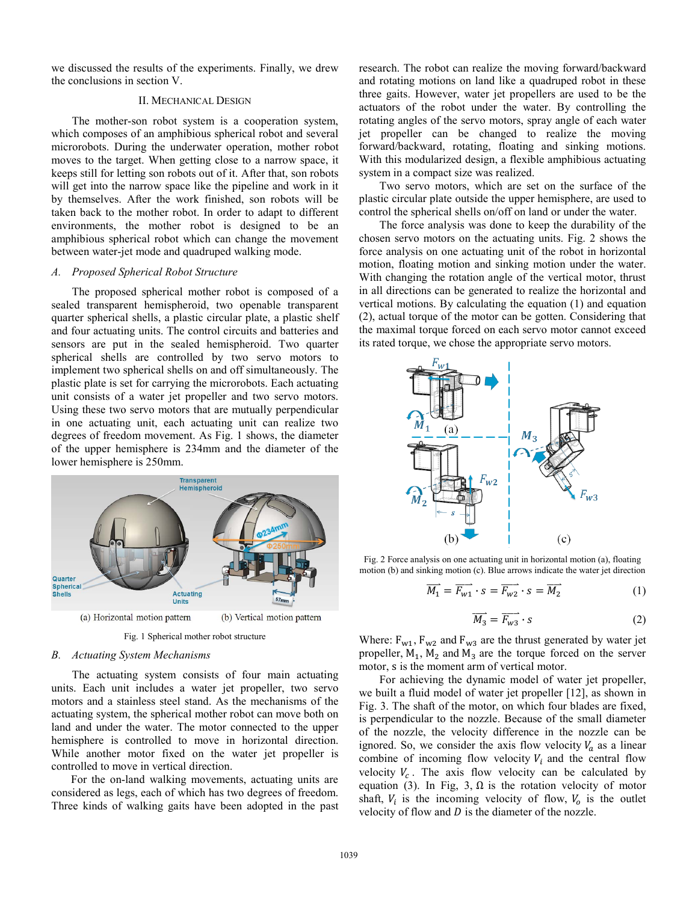we discussed the results of the experiments. Finally, we drew the conclusions in section V.

# II. MECHANICAL DESIGN

 The mother-son robot system is a cooperation system, which composes of an amphibious spherical robot and several microrobots. During the underwater operation, mother robot moves to the target. When getting close to a narrow space, it keeps still for letting son robots out of it. After that, son robots will get into the narrow space like the pipeline and work in it by themselves. After the work finished, son robots will be taken back to the mother robot. In order to adapt to different environments, the mother robot is designed to be an amphibious spherical robot which can change the movement between water-jet mode and quadruped walking mode.

#### *A. Proposed Spherical Robot Structure*

 The proposed spherical mother robot is composed of a sealed transparent hemispheroid, two openable transparent quarter spherical shells, a plastic circular plate, a plastic shelf and four actuating units. The control circuits and batteries and sensors are put in the sealed hemispheroid. Two quarter spherical shells are controlled by two servo motors to implement two spherical shells on and off simultaneously. The plastic plate is set for carrying the microrobots. Each actuating unit consists of a water jet propeller and two servo motors. Using these two servo motors that are mutually perpendicular in one actuating unit, each actuating unit can realize two degrees of freedom movement. As Fig. 1 shows, the diameter of the upper hemisphere is 234mm and the diameter of the lower hemisphere is 250mm.



Fig. 1 Spherical mother robot structure

#### *B. Actuating System Mechanisms*

 The actuating system consists of four main actuating units. Each unit includes a water jet propeller, two servo motors and a stainless steel stand. As the mechanisms of the actuating system, the spherical mother robot can move both on land and under the water. The motor connected to the upper hemisphere is controlled to move in horizontal direction. While another motor fixed on the water jet propeller is controlled to move in vertical direction.

 For the on-land walking movements, actuating units are considered as legs, each of which has two degrees of freedom. Three kinds of walking gaits have been adopted in the past research. The robot can realize the moving forward/backward and rotating motions on land like a quadruped robot in these three gaits. However, water jet propellers are used to be the actuators of the robot under the water. By controlling the rotating angles of the servo motors, spray angle of each water jet propeller can be changed to realize the moving forward/backward, rotating, floating and sinking motions. With this modularized design, a flexible amphibious actuating system in a compact size was realized.

 Two servo motors, which are set on the surface of the plastic circular plate outside the upper hemisphere, are used to control the spherical shells on/off on land or under the water.

 The force analysis was done to keep the durability of the chosen servo motors on the actuating units. Fig. 2 shows the force analysis on one actuating unit of the robot in horizontal motion, floating motion and sinking motion under the water. With changing the rotation angle of the vertical motor, thrust in all directions can be generated to realize the horizontal and vertical motions. By calculating the equation (1) and equation (2), actual torque of the motor can be gotten. Considering that the maximal torque forced on each servo motor cannot exceed its rated torque, we chose the appropriate servo motors.



Fig. 2 Force analysis on one actuating unit in horizontal motion (a), floating motion (b) and sinking motion (c). Blue arrows indicate the water jet direction

$$
\overrightarrow{M_1} = \overrightarrow{F_{w1}} \cdot s = \overrightarrow{F_{w2}} \cdot s = \overrightarrow{M_2}
$$
 (1)

$$
\overrightarrow{M_3} = \overrightarrow{F_{w3}} \cdot s \tag{2}
$$

Where:  $F_{w1}$ ,  $F_{w2}$  and  $F_{w3}$  are the thrust generated by water jet propeller,  $M_1$ ,  $M_2$  and  $M_3$  are the torque forced on the server motor, s is the moment arm of vertical motor.

 For achieving the dynamic model of water jet propeller, we built a fluid model of water jet propeller [12], as shown in Fig. 3. The shaft of the motor, on which four blades are fixed, is perpendicular to the nozzle. Because of the small diameter of the nozzle, the velocity difference in the nozzle can be ignored. So, we consider the axis flow velocity  $V_a$  as a linear combine of incoming flow velocity  $V_i$  and the central flow velocity  $V_c$ . The axis flow velocity can be calculated by equation (3). In Fig, 3,  $\Omega$  is the rotation velocity of motor shaft,  $V_i$  is the incoming velocity of flow,  $V_0$  is the outlet velocity of flow and  $D$  is the diameter of the nozzle.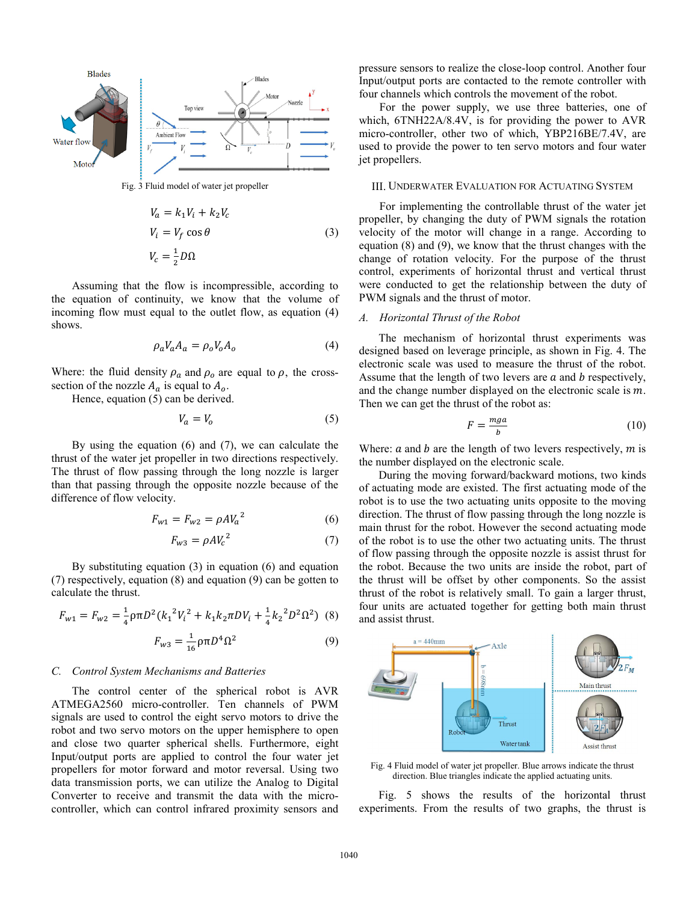

Fig. 3 Fluid model of water jet propeller

$$
V_a = k_1 V_i + k_2 V_c
$$
  
\n
$$
V_i = V_f \cos \theta
$$
 (3)  
\n
$$
V_c = \frac{1}{2} D \Omega
$$

 Assuming that the flow is incompressible, according to the equation of continuity, we know that the volume of incoming flow must equal to the outlet flow, as equation (4) shows.

$$
\rho_a V_a A_a = \rho_o V_o A_o \tag{4}
$$

Where: the fluid density  $\rho_a$  and  $\rho_o$  are equal to  $\rho$ , the crosssection of the nozzle  $A_a$  is equal to  $A_o$ .

Hence, equation (5) can be derived.

$$
V_a = V_o \tag{5}
$$

 By using the equation (6) and (7), we can calculate the thrust of the water jet propeller in two directions respectively. The thrust of flow passing through the long nozzle is larger than that passing through the opposite nozzle because of the difference of flow velocity.

$$
F_{w1} = F_{w2} = \rho A V_a^2 \tag{6}
$$

$$
F_{w3} = \rho A V_c^2 \tag{7}
$$

 By substituting equation (3) in equation (6) and equation (7) respectively, equation (8) and equation (9) can be gotten to calculate the thrust.

$$
F_{w1} = F_{w2} = \frac{1}{4} \rho \pi D^2 (k_1^2 V_i^2 + k_1 k_2 \pi D V_i + \frac{1}{4} k_2^2 D^2 \Omega^2)
$$
 (8)  

$$
F_{w3} = \frac{1}{16} \rho \pi D^4 \Omega^2
$$
 (9)

## *C. Control System Mechanisms and Batteries*

 The control center of the spherical robot is AVR ATMEGA2560 micro-controller. Ten channels of PWM signals are used to control the eight servo motors to drive the robot and two servo motors on the upper hemisphere to open and close two quarter spherical shells. Furthermore, eight Input/output ports are applied to control the four water jet propellers for motor forward and motor reversal. Using two data transmission ports, we can utilize the Analog to Digital Converter to receive and transmit the data with the microcontroller, which can control infrared proximity sensors and pressure sensors to realize the close-loop control. Another four Input/output ports are contacted to the remote controller with four channels which controls the movement of the robot.

 For the power supply, we use three batteries, one of which, 6TNH22A/8.4V, is for providing the power to AVR micro-controller, other two of which, YBP216BE/7.4V, are used to provide the power to ten servo motors and four water jet propellers.

#### III. UNDERWATER EVALUATION FOR ACTUATING SYSTEM

 For implementing the controllable thrust of the water jet propeller, by changing the duty of PWM signals the rotation velocity of the motor will change in a range. According to equation (8) and (9), we know that the thrust changes with the change of rotation velocity. For the purpose of the thrust control, experiments of horizontal thrust and vertical thrust were conducted to get the relationship between the duty of PWM signals and the thrust of motor.

## *A. Horizontal Thrust of the Robot*

 The mechanism of horizontal thrust experiments was designed based on leverage principle, as shown in Fig. 4. The electronic scale was used to measure the thrust of the robot. Assume that the length of two levers are  $a$  and  $b$  respectively, and the change number displayed on the electronic scale is  $m$ . Then we can get the thrust of the robot as:

$$
F = \frac{mga}{b} \tag{10}
$$

Where:  $a$  and  $b$  are the length of two levers respectively,  $m$  is the number displayed on the electronic scale.

 During the moving forward/backward motions, two kinds of actuating mode are existed. The first actuating mode of the robot is to use the two actuating units opposite to the moving direction. The thrust of flow passing through the long nozzle is main thrust for the robot. However the second actuating mode of the robot is to use the other two actuating units. The thrust of flow passing through the opposite nozzle is assist thrust for the robot. Because the two units are inside the robot, part of the thrust will be offset by other components. So the assist thrust of the robot is relatively small. To gain a larger thrust, four units are actuated together for getting both main thrust and assist thrust.



Fig. 4 Fluid model of water jet propeller. Blue arrows indicate the thrust direction. Blue triangles indicate the applied actuating units.

 Fig. 5 shows the results of the horizontal thrust experiments. From the results of two graphs, the thrust is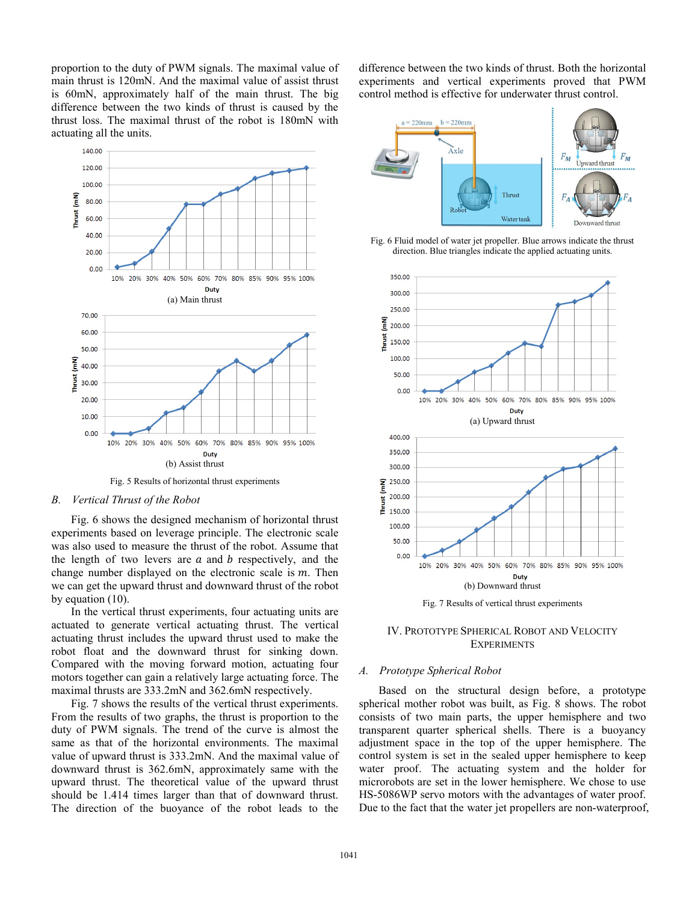proportion to the duty of PWM signals. The maximal value of main thrust is 120mN. And the maximal value of assist thrust is 60mN, approximately half of the main thrust. The big difference between the two kinds of thrust is caused by the thrust loss. The maximal thrust of the robot is 180mN with actuating all the units.



Fig. 5 Results of horizontal thrust experiments

## *B. Vertical Thrust of the Robot*

 Fig. 6 shows the designed mechanism of horizontal thrust experiments based on leverage principle. The electronic scale was also used to measure the thrust of the robot. Assume that the length of two levers are  $a$  and  $b$  respectively, and the change number displayed on the electronic scale is  $m$ . Then we can get the upward thrust and downward thrust of the robot by equation (10).

 In the vertical thrust experiments, four actuating units are actuated to generate vertical actuating thrust. The vertical actuating thrust includes the upward thrust used to make the robot float and the downward thrust for sinking down. Compared with the moving forward motion, actuating four motors together can gain a relatively large actuating force. The maximal thrusts are 333.2mN and 362.6mN respectively.

 Fig. 7 shows the results of the vertical thrust experiments. From the results of two graphs, the thrust is proportion to the duty of PWM signals. The trend of the curve is almost the same as that of the horizontal environments. The maximal value of upward thrust is 333.2mN. And the maximal value of downward thrust is 362.6mN, approximately same with the upward thrust. The theoretical value of the upward thrust should be 1.414 times larger than that of downward thrust. The direction of the buoyance of the robot leads to the difference between the two kinds of thrust. Both the horizontal experiments and vertical experiments proved that PWM control method is effective for underwater thrust control.



Fig. 6 Fluid model of water jet propeller. Blue arrows indicate the thrust direction. Blue triangles indicate the applied actuating units.



Fig. 7 Results of vertical thrust experiments



## *A. Prototype Spherical Robot*

 Based on the structural design before, a prototype spherical mother robot was built, as Fig. 8 shows. The robot consists of two main parts, the upper hemisphere and two transparent quarter spherical shells. There is a buoyancy adjustment space in the top of the upper hemisphere. The control system is set in the sealed upper hemisphere to keep water proof. The actuating system and the holder for microrobots are set in the lower hemisphere. We chose to use HS-5086WP servo motors with the advantages of water proof. Due to the fact that the water jet propellers are non-waterproof,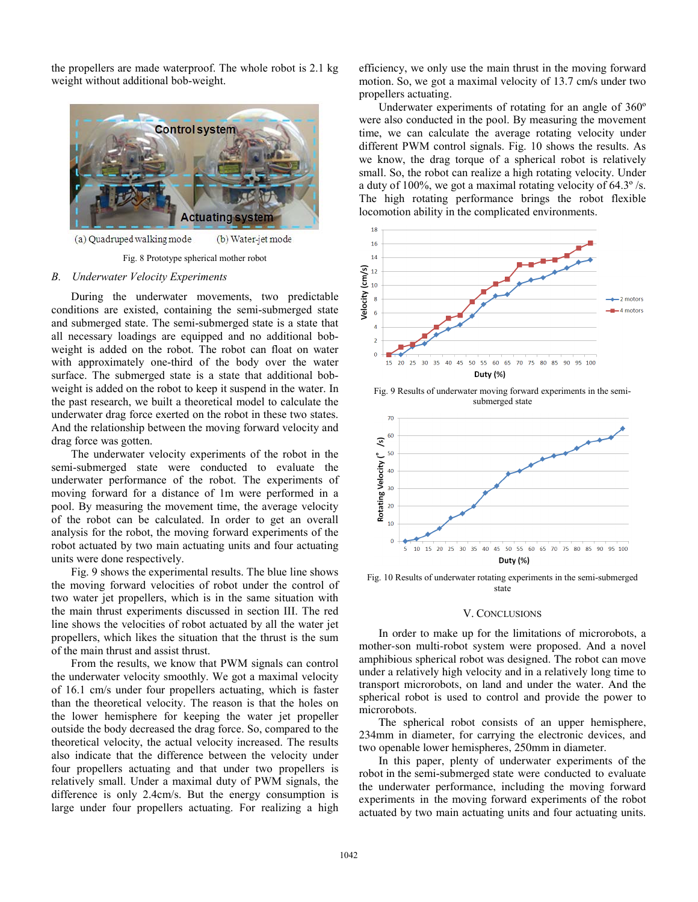the propellers are made waterproof. The whole robot is 2.1 kg weight without additional bob-weight.



Fig. 8 Prototype spherical mother robot

#### *B. Underwater Velocity Experiments*

 During the underwater movements, two predictable conditions are existed, containing the semi-submerged state and submerged state. The semi-submerged state is a state that all necessary loadings are equipped and no additional bobweight is added on the robot. The robot can float on water with approximately one-third of the body over the water surface. The submerged state is a state that additional bobweight is added on the robot to keep it suspend in the water. In the past research, we built a theoretical model to calculate the underwater drag force exerted on the robot in these two states. And the relationship between the moving forward velocity and drag force was gotten.

 The underwater velocity experiments of the robot in the semi-submerged state were conducted to evaluate the underwater performance of the robot. The experiments of moving forward for a distance of 1m were performed in a pool. By measuring the movement time, the average velocity of the robot can be calculated. In order to get an overall analysis for the robot, the moving forward experiments of the robot actuated by two main actuating units and four actuating units were done respectively.

 Fig. 9 shows the experimental results. The blue line shows the moving forward velocities of robot under the control of two water jet propellers, which is in the same situation with the main thrust experiments discussed in section III. The red line shows the velocities of robot actuated by all the water jet propellers, which likes the situation that the thrust is the sum of the main thrust and assist thrust.

 From the results, we know that PWM signals can control the underwater velocity smoothly. We got a maximal velocity of 16.1 cm/s under four propellers actuating, which is faster than the theoretical velocity. The reason is that the holes on the lower hemisphere for keeping the water jet propeller outside the body decreased the drag force. So, compared to the theoretical velocity, the actual velocity increased. The results also indicate that the difference between the velocity under four propellers actuating and that under two propellers is relatively small. Under a maximal duty of PWM signals, the difference is only 2.4cm/s. But the energy consumption is large under four propellers actuating. For realizing a high efficiency, we only use the main thrust in the moving forward motion. So, we got a maximal velocity of 13.7 cm/s under two propellers actuating.

 Underwater experiments of rotating for an angle of 360º were also conducted in the pool. By measuring the movement time, we can calculate the average rotating velocity under different PWM control signals. Fig. 10 shows the results. As we know, the drag torque of a spherical robot is relatively small. So, the robot can realize a high rotating velocity. Under a duty of 100%, we got a maximal rotating velocity of 64.3º /s. The high rotating performance brings the robot flexible locomotion ability in the complicated environments.



Fig. 9 Results of underwater moving forward experiments in the semisubmerged state



Fig. 10 Results of underwater rotating experiments in the semi-submerged state

#### V. CONCLUSIONS

 In order to make up for the limitations of microrobots, a mother-son multi-robot system were proposed. And a novel amphibious spherical robot was designed. The robot can move under a relatively high velocity and in a relatively long time to transport microrobots, on land and under the water. And the spherical robot is used to control and provide the power to microrobots.

 The spherical robot consists of an upper hemisphere, 234mm in diameter, for carrying the electronic devices, and two openable lower hemispheres, 250mm in diameter.

 In this paper, plenty of underwater experiments of the robot in the semi-submerged state were conducted to evaluate the underwater performance, including the moving forward experiments in the moving forward experiments of the robot actuated by two main actuating units and four actuating units.